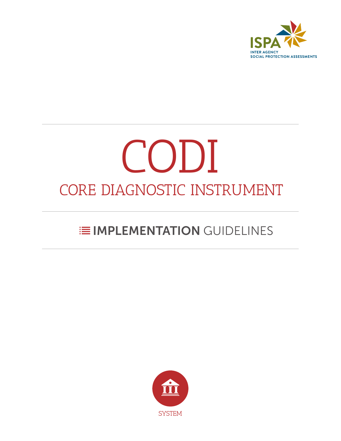

# CODI CORE DIAGNOSTIC INSTRUMENT

## **E IMPLEMENTATION GUIDELINES**

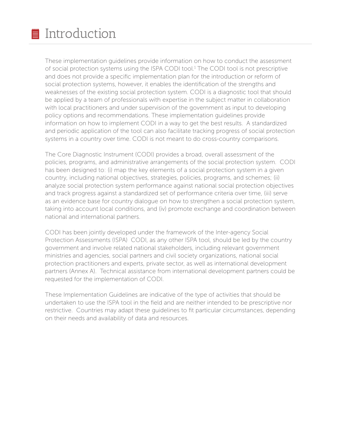These implementation guidelines provide information on how to conduct the assessment of social protection systems using the ISPA CODI tool.<sup>1</sup> The CODI tool is not prescriptive and does not provide a specific implementation plan for the introduction or reform of social protection systems, however, it enables the identification of the strengths and weaknesses of the existing social protection system. CODI is a diagnostic tool that should be applied by a team of professionals with expertise in the subject matter in collaboration with local practitioners and under supervision of the government as input to developing policy options and recommendations. These implementation guidelines provide information on how to implement CODI in a way to get the best results. A standardized and periodic application of the tool can also facilitate tracking progress of social protection systems in a country over time. CODI is not meant to do cross-country comparisons.

The Core Diagnostic Instrument (CODI) provides a broad, overall assessment of the policies, programs, and administrative arrangements of the social protection system. CODI has been designed to: (i) map the key elements of a social protection system in a given country, including national objectives, strategies, policies, programs, and schemes; (ii) analyze social protection system performance against national social protection objectives and track progress against a standardized set of performance criteria over time, (iii) serve as an evidence base for country dialogue on how to strengthen a social protection system, taking into account local conditions, and (iv) promote exchange and coordination between national and international partners.

CODI has been jointly developed under the framework of the Inter-agency Social Protection Assessments (ISPA) CODI, as any other ISPA tool, should be led by the country government and involve related national stakeholders, including relevant government ministries and agencies, social partners and civil society organizations, national social protection practitioners and experts, private sector, as well as international development partners (Annex A). Technical assistance from international development partners could be requested for the implementation of CODI.

These Implementation Guidelines are indicative of the type of activities that should be undertaken to use the ISPA tool in the field and are neither intended to be prescriptive nor restrictive. Countries may adapt these guidelines to fit particular circumstances, depending on their needs and availability of data and resources.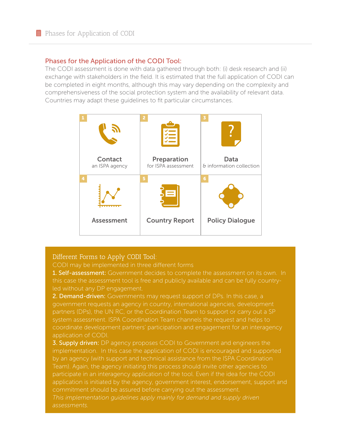#### Phases for the Application of the CODI Tool:

The CODI assessment is done with data gathered through both: (i) desk research and (ii) exchange with stakeholders in the field. It is estimated that the full application of CODI can be completed in eight months, although this may vary depending on the complexity and comprehensiveness of the social protection system and the availability of relevant data. Countries may adapt these guidelines to fit particular circumstances.



#### Different Forms to Apply CODI Tool:

CODI may be implemented in three different forms

**1. Self-assessment:** Government decides to complete the assessment on its own. In this case the assessment tool is free and publicly available and can be fully countryled without any DP engagement.

2. Demand-driven: Governments may request support of DPs. In this case, a government requests an agency in country, international agencies, development partners (DPs), the UN RC, or the Coordination Team to support or carry out a SP system assessment. ISPA Coordination Team channels the request and helps to coordinate development partners' participation and engagement for an interagency application of CODI.

**3. Supply driven:** DP agency proposes CODI to Government and engineers the implementation. In this case the application of CODI is encouraged and supported by an agency (with support and technical assistance from the ISPA Coordination Team). Again, the agency initiating this process should invite other agencies to participate in an interagency application of the tool. Even if the idea for the CODI application is initiated by the agency, government interest, endorsement, support and *This implementation guidelines apply mainly for demand and supply driven* 

*assessments.*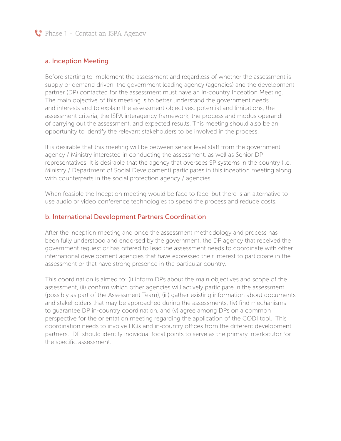#### a. Inception Meeting

Before starting to implement the assessment and regardless of whether the assessment is supply or demand driven, the government leading agency (agencies) and the development partner (DP) contacted for the assessment must have an in-country Inception Meeting. The main objective of this meeting is to better understand the government needs and interests and to explain the assessment objectives, potential and limitations, the assessment criteria, the ISPA interagency framework, the process and modus operandi of carrying out the assessment, and expected results. This meeting should also be an opportunity to identify the relevant stakeholders to be involved in the process.

It is desirable that this meeting will be between senior level staff from the government agency / Ministry interested in conducting the assessment, as well as Senior DP representatives. It is desirable that the agency that oversees SP systems in the country (i.e. Ministry / Department of Social Development) participates in this inception meeting along with counterparts in the social protection agency / agencies.

When feasible the Inception meeting would be face to face, but there is an alternative to use audio or video conference technologies to speed the process and reduce costs.

#### b. International Development Partners Coordination

After the inception meeting and once the assessment methodology and process has been fully understood and endorsed by the government, the DP agency that received the government request or has offered to lead the assessment needs to coordinate with other international development agencies that have expressed their interest to participate in the assessment or that have strong presence in the particular country.

This coordination is aimed to: (i) inform DPs about the main objectives and scope of the assessment, (ii) confirm which other agencies will actively participate in the assessment (possibly as part of the Assessment Team), (iii) gather existing information about documents and stakeholders that may be approached during the assessments, (iv) find mechanisms to guarantee DP in-country coordination, and (v) agree among DPs on a common perspective for the orientation meeting regarding the application of the CODI tool. This coordination needs to involve HQs and in-country offices from the different development partners. DP should identify individual focal points to serve as the primary interlocutor for the specific assessment.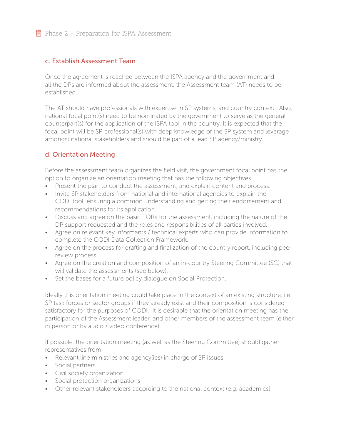#### c. Establish Assessment Team

Once the agreement is reached between the ISPA agency and the government and all the DPs are informed about the assessment, the Assessment team (AT) needs to be established.

The AT should have professionals with expertise in SP systems, and country context. Also, national focal point(s) need to be nominated by the government to serve as the general counterpart(s) for the application of the ISPA tool in the country. It is expected that the focal point will be SP professional(s) with deep knowledge of the SP system and leverage amongst national stakeholders and should be part of a lead SP agency/ministry.

#### d. Orientation Meeting

Before the assessment team organizes the field visit, the government focal point has the option to organize an orientation meeting that has the following objectives:

- Present the plan to conduct the assessment, and explain content and process.
- Invite SP stakeholders from national and international agencies to explain the CODI tool, ensuring a common understanding and getting their endorsement and recommendations for its application.
- Discuss and agree on the basic TORs for the assessment, including the nature of the DP support requested and the roles and responsibilities of all parties involved.
- Agree on relevant key informants / technical experts who can provide information to complete the CODI Data Collection Framework.
- Agree on the process for drafting and finalization of the country report, including peer review process.
- Agree on the creation and composition of an in-country Steering Committee (SC) that will validate the assessments (see below).
- Set the bases for a future policy dialogue on Social Protection.

Ideally this orientation meeting could take place in the context of an existing structure, i.e. SP task forces or sector groups if they already exist and their composition is considered satisfactory for the purposes of CODI. It is desirable that the orientation meeting has the participation of the Assessment leader, and other members of the assessment team (either in person or by audio / video conference).

If possible, the orientation meeting (as well as the Steering Committee) should gather representatives from:

- Relevant line ministries and agency(ies) in charge of SP issues
- Social partners
- Civil society organization
- Social protection organizations
- Other relevant stakeholders according to the national context (e.g. academics)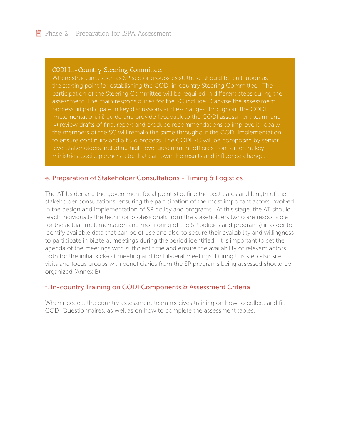#### CODI In-Country Steering Committee:

Where structures such as SP sector groups exist, these should be built upon as the starting point for establishing the CODI in-country Steering Committee. The assessment. The main responsibilities for the SC include: i) advise the assessment implementation, iii) guide and provide feedback to the CODI assessment team, and iv) review drafts of final report and produce recommendations to improve it. Ideally the members of the SC will remain the same throughout the CODI implementation level stakeholders including high level government officials from different key ministries, social partners, etc. that can own the results and influence change.

#### e. Preparation of Stakeholder Consultations - Timing & Logistics

The AT leader and the government focal point(s) define the best dates and length of the stakeholder consultations, ensuring the participation of the most important actors involved in the design and implementation of SP policy and programs. At this stage, the AT should reach individually the technical professionals from the stakeholders (who are responsible for the actual implementation and monitoring of the SP policies and programs) in order to identify available data that can be of use and also to secure their availability and willingness to participate in bilateral meetings during the period identified. It is important to set the agenda of the meetings with sufficient time and ensure the availability of relevant actors both for the initial kick-off meeting and for bilateral meetings. During this step also site visits and focus groups with beneficiaries from the SP programs being assessed should be organized (Annex B).

#### f. In-country Training on CODI Components & Assessment Criteria

When needed, the country assessment team receives training on how to collect and fill CODI Questionnaires, as well as on how to complete the assessment tables.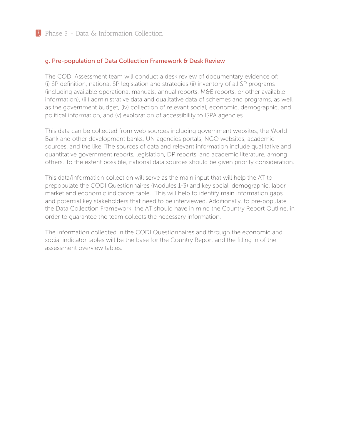#### g. Pre-population of Data Collection Framework & Desk Review

The CODI Assessment team will conduct a desk review of documentary evidence of: (i) SP definition, national SP legislation and strategies (ii) inventory of all SP programs (including available operational manuals, annual reports, M&E reports, or other available information), (iii) administrative data and qualitative data of schemes and programs, as well as the government budget, (iv) collection of relevant social, economic, demographic, and political information, and (v) exploration of accessibility to ISPA agencies.

This data can be collected from web sources including government websites, the World Bank and other development banks, UN agencies portals, NGO websites, academic sources, and the like. The sources of data and relevant information include qualitative and quantitative government reports, legislation, DP reports, and academic literature, among others. To the extent possible, national data sources should be given priority consideration.

This data/information collection will serve as the main input that will help the AT to prepopulate the CODI Questionnaires (Modules 1-3) and key social, demographic, labor market and economic indicators table. This will help to identify main information gaps and potential key stakeholders that need to be interviewed. Additionally, to pre-populate the Data Collection Framework, the AT should have in mind the Country Report Outline, in order to guarantee the team collects the necessary information.

The information collected in the CODI Questionnaires and through the economic and social indicator tables will be the base for the Country Report and the filling in of the assessment overview tables.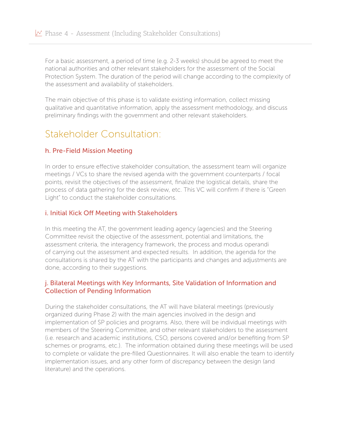For a basic assessment, a period of time (e.g. 2-3 weeks) should be agreed to meet the national authorities and other relevant stakeholders for the assessment of the Social Protection System. The duration of the period will change according to the complexity of the assessment and availability of stakeholders.

The main objective of this phase is to validate existing information, collect missing qualitative and quantitative information, apply the assessment methodology, and discuss preliminary findings with the government and other relevant stakeholders.

### Stakeholder Consultation:

#### h. Pre-Field Mission Meeting

In order to ensure effective stakeholder consultation, the assessment team will organize meetings / VCs to share the revised agenda with the government counterparts / focal points, revisit the objectives of the assessment, finalize the logistical details, share the process of data gathering for the desk review, etc. This VC will confirm if there is "Green Light" to conduct the stakeholder consultations.

#### i. Initial Kick Off Meeting with Stakeholders

In this meeting the AT, the government leading agency (agencies) and the Steering Committee revisit the objective of the assessment, potential and limitations, the assessment criteria, the interagency framework, the process and modus operandi of carrying out the assessment and expected results. In addition, the agenda for the consultations is shared by the AT with the participants and changes and adjustments are done, according to their suggestions.

#### j. Bilateral Meetings with Key Informants, Site Validation of Information and Collection of Pending Information

During the stakeholder consultations, the AT will have bilateral meetings (previously organized during Phase 2) with the main agencies involved in the design and implementation of SP policies and programs. Also, there will be individual meetings with members of the Steering Committee, and other relevant stakeholders to the assessment (i.e. research and academic institutions, CSO, persons covered and/or benefiting from SP schemes or programs, etc.). The information obtained during these meetings will be used to complete or validate the pre-filled Questionnaires. It will also enable the team to identify implementation issues, and any other form of discrepancy between the design (and literature) and the operations.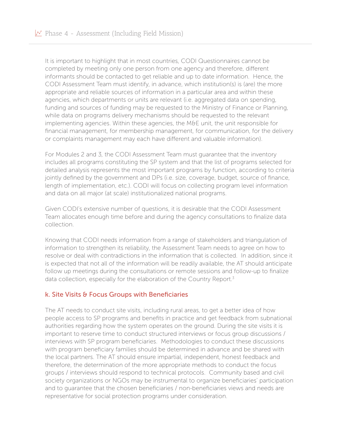It is important to highlight that in most countries, CODI Questionnaires cannot be completed by meeting only one person from one agency and therefore, different informants should be contacted to get reliable and up to date information. Hence, the CODI Assessment Team must identify, in advance, which institution(s) is (are) the more appropriate and reliable sources of information in a particular area and within these agencies, which departments or units are relevant (i.e. aggregated data on spending, funding and sources of funding may be requested to the Ministry of Finance or Planning, while data on programs delivery mechanisms should be requested to the relevant implementing agencies. Within these agencies, the M&E unit, the unit responsible for financial management, for membership management, for communication, for the delivery or complaints management may each have different and valuable information).

For Modules 2 and 3, the CODI Assessment Team must guarantee that the inventory includes all programs constituting the SP system and that the list of programs selected for detailed analysis represents the most important programs by function, according to criteria jointly defined by the government and DPs (i.e. size, coverage, budget, source of finance, length of implementation, etc.). CODI will focus on collecting program level information and data on all major (at scale) institutionalized national programs.

Given CODI's extensive number of questions, it is desirable that the CODI Assessment Team allocates enough time before and during the agency consultations to finalize data collection.

Knowing that CODI needs information from a range of stakeholders and triangulation of information to strengthen its reliability, the Assessment Team needs to agree on how to resolve or deal with contradictions in the information that is collected. In addition, since it is expected that not all of the information will be readily available, the AT should anticipate follow up meetings during the consultations or remote sessions and follow-up to finalize data collection, especially for the elaboration of the Country Report.<sup>3</sup>

#### k. Site Visits & Focus Groups with Beneficiaries

The AT needs to conduct site visits, including rural areas, to get a better idea of how people access to SP programs and benefits in practice and get feedback from subnational authorities regarding how the system operates on the ground. During the site visits it is important to reserve time to conduct structured interviews or focus group discussions / interviews with SP program beneficiaries. Methodologies to conduct these discussions with program beneficiary families should be determined in advance and be shared with the local partners. The AT should ensure impartial, independent, honest feedback and therefore, the determination of the more appropriate methods to conduct the focus groups / interviews should respond to technical protocols. Community based and civil society organizations or NGOs may be instrumental to organize beneficiaries' participation and to guarantee that the chosen beneficiaries / non-beneficiaries views and needs are representative for social protection programs under consideration.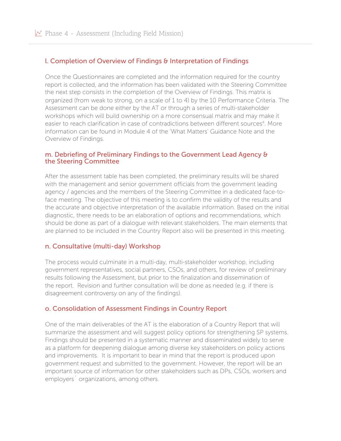#### l. Completion of Overview of Findings & Interpretation of Findings

Once the Questionnaires are completed and the information required for the country report is collected, and the information has been validated with the Steering Committee the next step consists in the completion of the Overview of Findings. This matrix is organized (from weak to strong, on a scale of 1 to 4) by the 10 Performance Criteria. The Assessment can be done either by the AT or through a series of multi-stakeholder workshops which will build ownership on a more consensual matrix and may make it easier to reach clarification in case of contradictions between different sources<sup>4</sup>. More information can be found in Module 4 of the 'What Matters' Guidance Note and the Overview of Findings.

#### m. Debriefing of Preliminary Findings to the Government Lead Agency & the Steering Committee

After the assessment table has been completed, the preliminary results will be shared with the management and senior government officials from the government leading agency / agencies and the members of the Steering Committee in a dedicated face-toface meeting. The objective of this meeting is to confirm the validity of the results and the accurate and objective interpretation of the available information. Based on the initial diagnostic, there needs to be an elaboration of options and recommendations, which should be done as part of a dialogue with relevant stakeholders. The main elements that are planned to be included in the Country Report also will be presented in this meeting.

#### n. Consultative (multi-day) Workshop

The process would culminate in a multi-day, multi-stakeholder workshop, including government representatives, social partners, CSOs, and others, for review of preliminary results following the Assessment, but prior to the finalization and dissemination of the report. Revision and further consultation will be done as needed (e.g. if there is disagreement controversy on any of the findings).

#### o. Consolidation of Assessment Findings in Country Report

One of the main deliverables of the AT is the elaboration of a Country Report that will summarize the assessment and will suggest policy options for strengthening SP systems. Findings should be presented in a systematic manner and disseminated widely to serve as a platform for deepening dialogue among diverse key stakeholders on policy actions and improvements. It is important to bear in mind that the report is produced upon government request and submitted to the government. However, the report will be an important source of information for other stakeholders such as DPs, CSOs, workers and employers´ organizations, among others.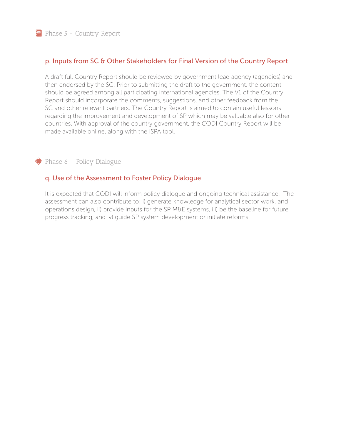#### p. Inputs from SC & Other Stakeholders for Final Version of the Country Report

A draft full Country Report should be reviewed by government lead agency (agencies) and then endorsed by the SC. Prior to submitting the draft to the government, the content should be agreed among all participating international agencies. The V1 of the Country Report should incorporate the comments, suggestions, and other feedback from the SC and other relevant partners. The Country Report is aimed to contain useful lessons regarding the improvement and development of SP which may be valuable also for other countries. With approval of the country government, the CODI Country Report will be made available online, along with the ISPA tool.

Phase 6 - Policy Dialogue

#### q. Use of the Assessment to Foster Policy Dialogue

It is expected that CODI will inform policy dialogue and ongoing technical assistance. The assessment can also contribute to: i) generate knowledge for analytical sector work, and operations design, ii) provide inputs for the SP M&E systems, iii) be the baseline for future progress tracking, and iv) guide SP system development or initiate reforms.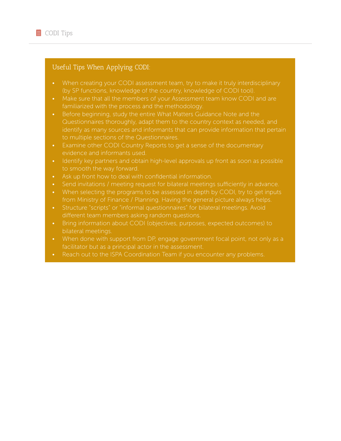#### Useful Tips When Applying CODI:

- When creating your CODI assessment team, try to make it truly interdisciplinary (by SP functions, knowledge of the country, knowledge of CODI tool).
- Make sure that all the members of your Assessment team know CODI and are familiarized with the process and the methodology.
- Before beginning, study the entire What Matters Guidance Note and the Questionnaires thoroughly, adapt them to the country context as needed, and identify as many sources and informants that can provide information that pertain to multiple sections of the Questionnaires.
- Examine other CODI Country Reports to get a sense of the documentary evidence and informants used.
- Identify key partners and obtain high-level approvals up front as soon as possible to smooth the way forward.
- Ask up front how to deal with confidential information.
- Send invitations / meeting request for bilateral meetings sufficiently in advance.
- When selecting the programs to be assessed in depth by CODI, try to get inputs from Ministry of Finance / Planning. Having the general picture always helps.
- different team members asking random questions.
- Bring information about CODI (objectives, purposes, expected outcomes) to bilateral meetings.
- When done with support from DP, engage government focal point, not only as a facilitator but as a principal actor in the assessment.
-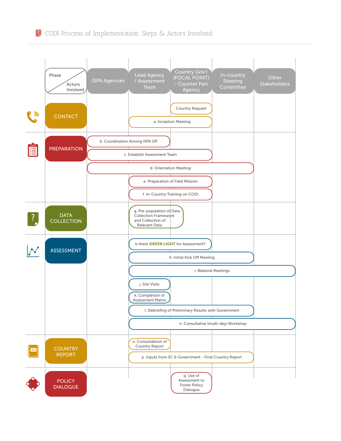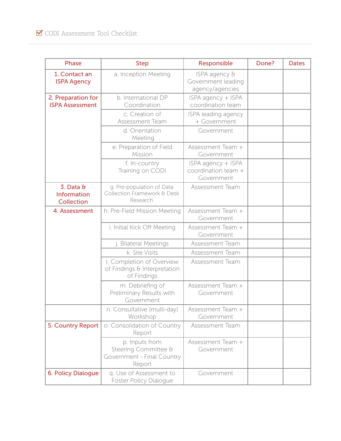| <b>Phase</b>                                  | <b>Step</b>                                                                    | Responsible                                             | Done? | <b>Dates</b> |
|-----------------------------------------------|--------------------------------------------------------------------------------|---------------------------------------------------------|-------|--------------|
| 1. Contact an<br><b>ISPA Agency</b>           | a. Inception Meeting                                                           | ISPA agency &<br>Government leading<br>agency/agencies  |       |              |
| 2. Preparation for<br><b>ISPA Assessment</b>  | b. International DP<br>Coordination                                            | ISPA agency + ISPA<br>coordination team                 |       |              |
|                                               | c. Creation of<br>Assessment Team                                              | ISPA leading agency<br>+ Government                     |       |              |
|                                               | d. Orientation<br>Meeting                                                      | Government                                              |       |              |
|                                               | e. Preparation of Field<br>Mission                                             | Assessment Team +<br>Government                         |       |              |
|                                               | f. In-country<br>Training on CODI                                              | ISPA agency + ISPA<br>coordination team +<br>Government |       |              |
| 3. Data &<br>Information<br><b>Collection</b> | g. Pre-population of Data<br>Collection Framework & Desk<br>Research           | Assessment Team                                         |       |              |
| 4. Assessment                                 | h. Pre-Field Mission Meeting                                                   | Assessment Team +<br>Government                         |       |              |
|                                               | i. Initial Kick Off Meeting                                                    | Assessment Team +<br>Government                         |       |              |
|                                               | j. Bilateral Meetings                                                          | Assessment Team                                         |       |              |
|                                               | k. Site Visits                                                                 | Assessment Team                                         |       |              |
|                                               | l. Completion of Overview<br>of Findings & Interpretation<br>of Findings       | Assessment Team                                         |       |              |
|                                               | m. Debriefing of<br>Preliminary Results with<br>Government                     | Assessment Team +<br>Government                         |       |              |
|                                               | n. Consultative (multi-day)<br>Workshop                                        | Assessment Team +<br>Government                         |       |              |
| 5. Country Report                             | o. Consolidation of Country<br>Report                                          | Assessment Team                                         |       |              |
|                                               | p. Inputs from<br>Steering Committee &<br>Government - Final Country<br>Report | Assessment Team +<br>Government                         |       |              |
| 6. Policy Dialogue                            | q. Use of Assessment to<br>Foster Policy Dialogue                              | Government                                              |       |              |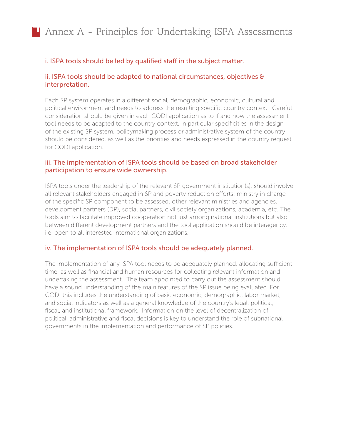#### i. ISPA tools should be led by qualified staff in the subject matter.

#### ii. ISPA tools should be adapted to national circumstances, objectives & interpretation.

Each SP system operates in a different social, demographic, economic, cultural and political environment and needs to address the resulting specific country context. Careful consideration should be given in each CODI application as to if and how the assessment tool needs to be adapted to the country context. In particular specificities in the design of the existing SP system, policymaking process or administrative system of the country should be considered, as well as the priorities and needs expressed in the country request for CODI application.

#### iii. The implementation of ISPA tools should be based on broad stakeholder participation to ensure wide ownership.

ISPA tools under the leadership of the relevant SP government institution(s), should involve all relevant stakeholders engaged in SP and poverty reduction efforts: ministry in charge of the specific SP component to be assessed, other relevant ministries and agencies, development partners (DP), social partners, civil society organizations, academia, etc. The tools aim to facilitate improved cooperation not just among national institutions but also between different development partners and the tool application should be interagency, i.e. open to all interested international organizations.

#### iv. The implementation of ISPA tools should be adequately planned.

The implementation of any ISPA tool needs to be adequately planned, allocating sufficient time, as well as financial and human resources for collecting relevant information and undertaking the assessment. The team appointed to carry out the assessment should have a sound understanding of the main features of the SP issue being evaluated. For CODI this includes the understanding of basic economic, demographic, labor market, and social indicators as well as a general knowledge of the country's legal, political, fiscal, and institutional framework. Information on the level of decentralization of political, administrative and fiscal decisions is key to understand the role of subnational governments in the implementation and performance of SP policies.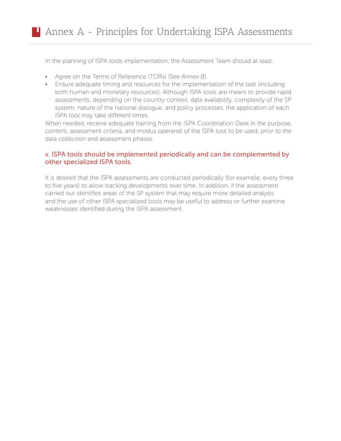In the planning of ISPA tools implementation, the Assessment Team should at least:

- Agree on the Terms of Reference (TORs) (*See Annex B*).
- Ensure adequate timing and resources for the implementation of the task (including both human and monetary resources). Although ISPA tools are meant to provide rapid assessments, depending on the country context, data availability, complexity of the SP system, nature of the national dialogue, and policy processes, the application of each ISPA tool may take different times.

When needed, receive adequate training from the ISPA Coordination Desk in the purpose, content, assessment criteria, and modus operandi of the ISPA tool to be used, prior to the data collection and assessment phases.

#### v. ISPA tools should be implemented periodically and can be complemented by other specialized ISPA tools.

It is desired that the ISPA assessments are conducted periodically (for example, every three to five years) to allow tracking developments over time. In addition, if the assessment carried out identifies areas of the SP system that may require more detailed analysis and the use of other ISPA specialized tools may be useful to address or further examine weaknesses identified during the ISPA assessment.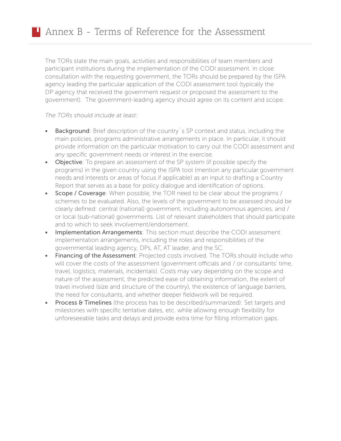The TORs state the main goals, activities and responsibilities of team members and participant institutions during the implementation of the CODI assessment. In close consultation with the requesting government, the TORs should be prepared by the ISPA agency leading the particular application of the CODI assessment tool (typically the DP agency that received the government request or proposed the assessment to the government). The government-leading agency should agree on its content and scope.

#### *The TORs should include at least:*

- Background: Brief description of the country s SP context and status, including the main policies, programs administrative arrangements in place. In particular, it should provide information on the particular motivation to carry out the CODI assessment and any specific government needs or interest in the exercise.
- Objective: To prepare an assessment of the SP system (if possible specify the programs) in the given country using the ISPA tool (mention any particular government needs and interests or areas of focus if applicable) as an input to drafting a Country Report that serves as a base for policy dialogue and identification of options.
- Scope / Coverage: When possible, the TOR need to be clear about the programs / schemes to be evaluated. Also, the levels of the government to be assessed should be clearly defined: central (national) government, including autonomous agencies, and / or local (sub-national) governments. List of relevant stakeholders that should participate and to which to seek involvement/endorsement.
- Implementation Arrangements: This section must describe the CODI assessment implementation arrangements, including the roles and responsibilities of the governmental leading agency, DPs, AT, AT leader, and the SC.
- Financing of the Assessment: Projected costs involved. The TORs should include who will cover the costs of the assessment (government officials and / or consultants' time, travel, logistics, materials, incidentals). Costs may vary depending on the scope and nature of the assessment, the predicted ease of obtaining information, the extent of travel involved (size and structure of the country), the existence of language barriers, the need for consultants, and whether deeper fieldwork will be required.
- Process & Timelines (the process has to be described/summarized): Set targets and milestones with specific tentative dates, etc. while allowing enough flexibility for unforeseeable tasks and delays and provide extra time for filling information gaps.